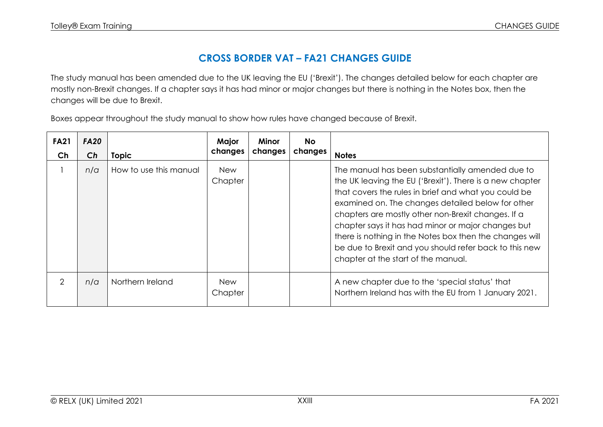## **CROSS BORDER VAT – FA21 CHANGES GUIDE**

The study manual has been amended due to the UK leaving the EU ('Brexit'). The changes detailed below for each chapter are mostly non-Brexit changes. If a chapter says it has had minor or major changes but there is nothing in the Notes box, then the changes will be due to Brexit.

Boxes appear throughout the study manual to show how rules have changed because of Brexit.

| <b>FA21</b><br>Ch | <b>FA20</b><br>Ch | <b>Topic</b>           | Major<br>changes      | <b>Minor</b><br>changes | <b>No</b><br>changes | <b>Notes</b>                                                                                                                                                                                                                                                                                                                                                                                                                                                                                      |
|-------------------|-------------------|------------------------|-----------------------|-------------------------|----------------------|---------------------------------------------------------------------------------------------------------------------------------------------------------------------------------------------------------------------------------------------------------------------------------------------------------------------------------------------------------------------------------------------------------------------------------------------------------------------------------------------------|
|                   | n/a               | How to use this manual | <b>New</b><br>Chapter |                         |                      | The manual has been substantially amended due to<br>the UK leaving the EU ('Brexit'). There is a new chapter<br>that covers the rules in brief and what you could be<br>examined on. The changes detailed below for other<br>chapters are mostly other non-Brexit changes. If a<br>chapter says it has had minor or major changes but<br>there is nothing in the Notes box then the changes will<br>be due to Brexit and you should refer back to this new<br>chapter at the start of the manual. |
| $\mathcal{P}$     | n/a               | Northern Ireland       | <b>New</b><br>Chapter |                         |                      | A new chapter due to the 'special status' that<br>Northern Ireland has with the EU from 1 January 2021.                                                                                                                                                                                                                                                                                                                                                                                           |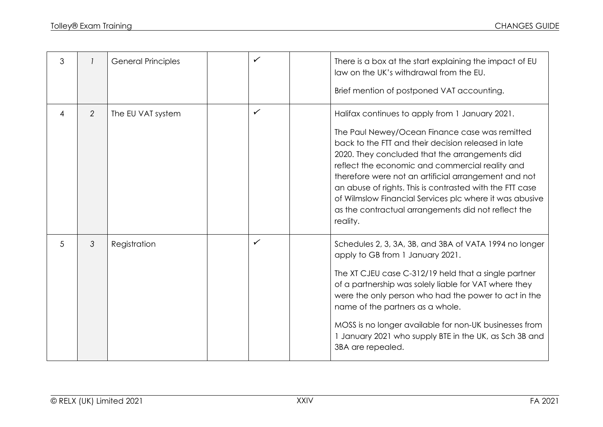| 3              |                | <b>General Principles</b> | ✓            | There is a box at the start explaining the impact of EU<br>law on the UK's withdrawal from the EU.<br>Brief mention of postponed VAT accounting.                                                                                                                                                                                                                                                                                                                                                                |
|----------------|----------------|---------------------------|--------------|-----------------------------------------------------------------------------------------------------------------------------------------------------------------------------------------------------------------------------------------------------------------------------------------------------------------------------------------------------------------------------------------------------------------------------------------------------------------------------------------------------------------|
| $\overline{4}$ | $\overline{2}$ | The EU VAT system         | $\checkmark$ | Halifax continues to apply from 1 January 2021.<br>The Paul Newey/Ocean Finance case was remitted<br>back to the FTT and their decision released in late<br>2020. They concluded that the arrangements did<br>reflect the economic and commercial reality and<br>therefore were not an artificial arrangement and not<br>an abuse of rights. This is contrasted with the FTT case<br>of Wilmslow Financial Services plc where it was abusive<br>as the contractual arrangements did not reflect the<br>reality. |
| 5              | 3              | Registration              | $\checkmark$ | Schedules 2, 3, 3A, 3B, and 3BA of VATA 1994 no longer<br>apply to GB from 1 January 2021.<br>The XT CJEU case C-312/19 held that a single partner<br>of a partnership was solely liable for VAT where they<br>were the only person who had the power to act in the<br>name of the partners as a whole.<br>MOSS is no longer available for non-UK businesses from<br>1 January 2021 who supply BTE in the UK, as Sch 3B and<br>3BA are repealed.                                                                |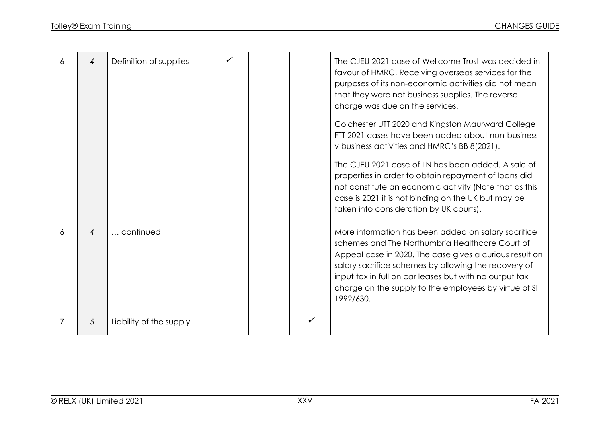| 6 | $\overline{4}$            | Definition of supplies  |  |   | The CJEU 2021 case of Wellcome Trust was decided in<br>favour of HMRC. Receiving overseas services for the<br>purposes of its non-economic activities did not mean<br>that they were not business supplies. The reverse<br>charge was due on the services.                                                                                                |
|---|---------------------------|-------------------------|--|---|-----------------------------------------------------------------------------------------------------------------------------------------------------------------------------------------------------------------------------------------------------------------------------------------------------------------------------------------------------------|
|   |                           |                         |  |   | Colchester UTT 2020 and Kingston Maurward College<br>FTT 2021 cases have been added about non-business<br>v business activities and HMRC's BB 8(2021).                                                                                                                                                                                                    |
|   |                           |                         |  |   | The CJEU 2021 case of LN has been added. A sale of<br>properties in order to obtain repayment of loans did<br>not constitute an economic activity (Note that as this<br>case is 2021 it is not binding on the UK but may be<br>taken into consideration by UK courts).                                                                                    |
| 6 | $\boldsymbol{\varLambda}$ | continued               |  |   | More information has been added on salary sacrifice<br>schemes and The Northumbria Healthcare Court of<br>Appeal case in 2020. The case gives a curious result on<br>salary sacrifice schemes by allowing the recovery of<br>input tax in full on car leases but with no output tax<br>charge on the supply to the employees by virtue of SI<br>1992/630. |
| 7 | $\mathcal{L}$             | Liability of the supply |  | ✓ |                                                                                                                                                                                                                                                                                                                                                           |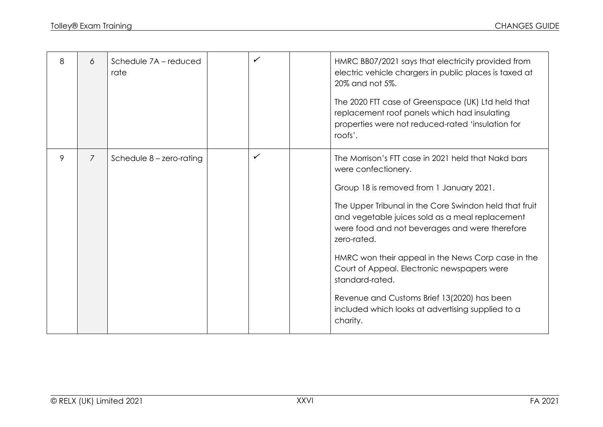| 8 | 6              | Schedule 7A - reduced<br>rate |   | HMRC BB07/2021 says that electricity provided from<br>electric vehicle chargers in public places is taxed at<br>20% and not 5%.<br>The 2020 FTT case of Greenspace (UK) Ltd held that<br>replacement roof panels which had insulating<br>properties were not reduced-rated 'insulation for<br>roofs'.                                                                                                                                                                                                                                        |
|---|----------------|-------------------------------|---|----------------------------------------------------------------------------------------------------------------------------------------------------------------------------------------------------------------------------------------------------------------------------------------------------------------------------------------------------------------------------------------------------------------------------------------------------------------------------------------------------------------------------------------------|
| 9 | $\overline{7}$ | Schedule $8$ – zero-rating    | ✓ | The Morrison's FTT case in 2021 held that Nakd bars<br>were confectionery.<br>Group 18 is removed from 1 January 2021.<br>The Upper Tribunal in the Core Swindon held that fruit<br>and vegetable juices sold as a meal replacement<br>were food and not beverages and were therefore<br>zero-rated.<br>HMRC won their appeal in the News Corp case in the<br>Court of Appeal. Electronic newspapers were<br>standard-rated.<br>Revenue and Customs Brief 13(2020) has been<br>included which looks at advertising supplied to a<br>charity. |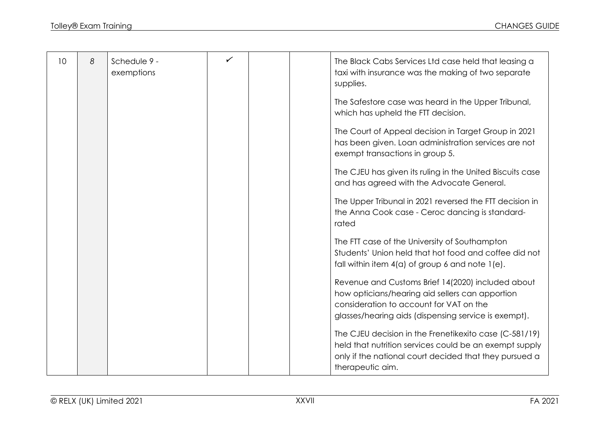| 10 | 8 | Schedule 9 - | ✓ |  |                                                                                                            |
|----|---|--------------|---|--|------------------------------------------------------------------------------------------------------------|
|    |   | exemptions   |   |  | The Black Cabs Services Ltd case held that leasing a<br>taxi with insurance was the making of two separate |
|    |   |              |   |  |                                                                                                            |
|    |   |              |   |  | supplies.                                                                                                  |
|    |   |              |   |  | The Safestore case was heard in the Upper Tribunal,                                                        |
|    |   |              |   |  | which has upheld the FTT decision.                                                                         |
|    |   |              |   |  |                                                                                                            |
|    |   |              |   |  | The Court of Appeal decision in Target Group in 2021                                                       |
|    |   |              |   |  | has been given. Loan administration services are not                                                       |
|    |   |              |   |  | exempt transactions in group 5.                                                                            |
|    |   |              |   |  |                                                                                                            |
|    |   |              |   |  | The CJEU has given its ruling in the United Biscuits case                                                  |
|    |   |              |   |  | and has agreed with the Advocate General.                                                                  |
|    |   |              |   |  |                                                                                                            |
|    |   |              |   |  | The Upper Tribunal in 2021 reversed the FTT decision in                                                    |
|    |   |              |   |  | the Anna Cook case - Ceroc dancing is standard-                                                            |
|    |   |              |   |  | rated                                                                                                      |
|    |   |              |   |  | The FTT case of the University of Southampton                                                              |
|    |   |              |   |  | Students' Union held that hot food and coffee did not                                                      |
|    |   |              |   |  | fall within item $4(a)$ of group 6 and note $1(e)$ .                                                       |
|    |   |              |   |  |                                                                                                            |
|    |   |              |   |  | Revenue and Customs Brief 14(2020) included about                                                          |
|    |   |              |   |  | how opticians/hearing aid sellers can apportion                                                            |
|    |   |              |   |  | consideration to account for VAT on the                                                                    |
|    |   |              |   |  | glasses/hearing aids (dispensing service is exempt).                                                       |
|    |   |              |   |  |                                                                                                            |
|    |   |              |   |  | The CJEU decision in the Frenetikexito case (C-581/19)                                                     |
|    |   |              |   |  | held that nutrition services could be an exempt supply                                                     |
|    |   |              |   |  | only if the national court decided that they pursued a                                                     |
|    |   |              |   |  | therapeutic aim.                                                                                           |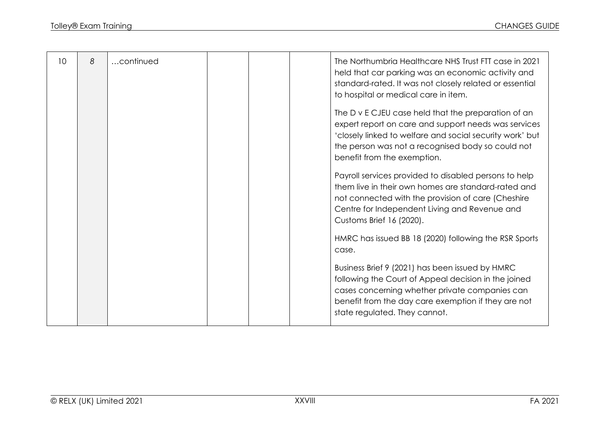| 10 | 8 | continued |  | The Northumbria Healthcare NHS Trust FTT case in 2021<br>held that car parking was an economic activity and<br>standard-rated. It was not closely related or essential<br>to hospital or medical care in item.                                              |
|----|---|-----------|--|-------------------------------------------------------------------------------------------------------------------------------------------------------------------------------------------------------------------------------------------------------------|
|    |   |           |  | The D v E CJEU case held that the preparation of an<br>expert report on care and support needs was services<br>'closely linked to welfare and social security work' but<br>the person was not a recognised body so could not<br>benefit from the exemption. |
|    |   |           |  | Payroll services provided to disabled persons to help<br>them live in their own homes are standard-rated and<br>not connected with the provision of care (Cheshire<br>Centre for Independent Living and Revenue and<br>Customs Brief 16 (2020).             |
|    |   |           |  | HMRC has issued BB 18 (2020) following the RSR Sports<br>case.                                                                                                                                                                                              |
|    |   |           |  | Business Brief 9 (2021) has been issued by HMRC<br>following the Court of Appeal decision in the joined<br>cases concerning whether private companies can<br>benefit from the day care exemption if they are not<br>state regulated. They cannot.           |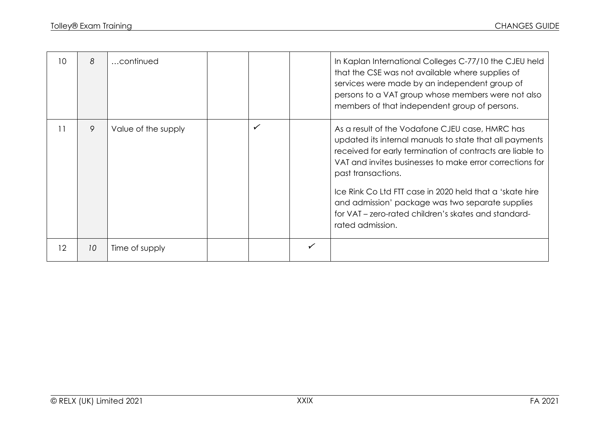| 10 | 8  | continued           |  |   | In Kaplan International Colleges C-77/10 the CJEU held<br>that the CSE was not available where supplies of<br>services were made by an independent group of<br>persons to a VAT group whose members were not also<br>members of that independent group of persons.                                                                                                                                                                                    |
|----|----|---------------------|--|---|-------------------------------------------------------------------------------------------------------------------------------------------------------------------------------------------------------------------------------------------------------------------------------------------------------------------------------------------------------------------------------------------------------------------------------------------------------|
| 11 | 9  | Value of the supply |  |   | As a result of the Vodafone CJEU case, HMRC has<br>updated its internal manuals to state that all payments<br>received for early termination of contracts are liable to<br>VAT and invites businesses to make error corrections for<br>past transactions.<br>Ice Rink Co Ltd FTT case in 2020 held that a 'skate hire<br>and admission' package was two separate supplies<br>for VAT – zero-rated children's skates and standard-<br>rated admission. |
| 12 | 10 | Time of supply      |  | ✓ |                                                                                                                                                                                                                                                                                                                                                                                                                                                       |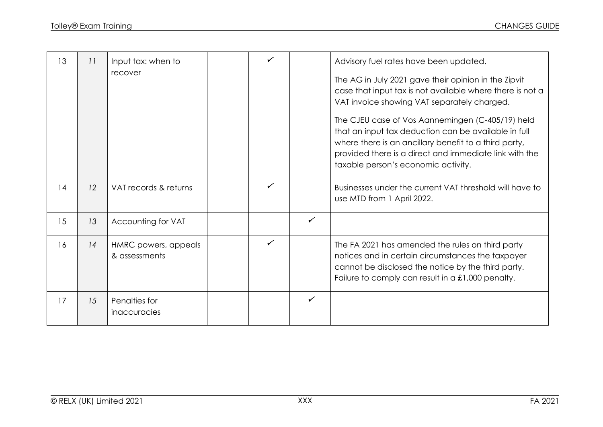| 13 | 11 | Input tax: when to<br>recover         | $\checkmark$ |              | Advisory fuel rates have been updated.<br>The AG in July 2021 gave their opinion in the Zipvit<br>case that input tax is not available where there is not a<br>VAT invoice showing VAT separately charged.<br>The CJEU case of Vos Aannemingen (C-405/19) held<br>that an input tax deduction can be available in full<br>where there is an ancillary benefit to a third party,<br>provided there is a direct and immediate link with the<br>taxable person's economic activity. |
|----|----|---------------------------------------|--------------|--------------|----------------------------------------------------------------------------------------------------------------------------------------------------------------------------------------------------------------------------------------------------------------------------------------------------------------------------------------------------------------------------------------------------------------------------------------------------------------------------------|
| 14 | 12 | VAT records & returns                 | $\checkmark$ |              | Businesses under the current VAT threshold will have to<br>use MTD from 1 April 2022.                                                                                                                                                                                                                                                                                                                                                                                            |
| 15 | 13 | Accounting for VAT                    |              | $\checkmark$ |                                                                                                                                                                                                                                                                                                                                                                                                                                                                                  |
| 16 | 14 | HMRC powers, appeals<br>& assessments | $\checkmark$ |              | The FA 2021 has amended the rules on third party<br>notices and in certain circumstances the taxpayer<br>cannot be disclosed the notice by the third party.<br>Failure to comply can result in a £1,000 penalty.                                                                                                                                                                                                                                                                 |
| 17 | 15 | Penalties for<br>inaccuracies         |              | $\checkmark$ |                                                                                                                                                                                                                                                                                                                                                                                                                                                                                  |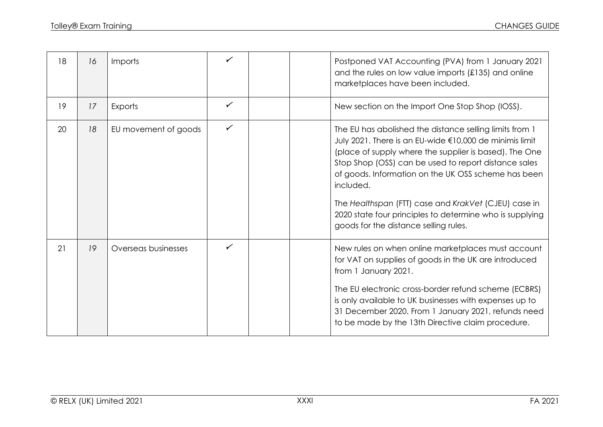| 18 | 16 | Imports              | ✓            | Postponed VAT Accounting (PVA) from 1 January 2021<br>and the rules on low value imports (£135) and online<br>marketplaces have been included.                                                                                                                                                                                                                                                                                                                        |
|----|----|----------------------|--------------|-----------------------------------------------------------------------------------------------------------------------------------------------------------------------------------------------------------------------------------------------------------------------------------------------------------------------------------------------------------------------------------------------------------------------------------------------------------------------|
| 19 | 17 | Exports              | ✓            | New section on the Import One Stop Shop (IOSS).                                                                                                                                                                                                                                                                                                                                                                                                                       |
| 20 | 18 | EU movement of goods | ✓            | The EU has abolished the distance selling limits from 1<br>July 2021. There is an EU-wide €10,000 de minimis limit<br>(place of supply where the supplier is based). The One<br>Stop Shop (OSS) can be used to report distance sales<br>of goods. Information on the UK OSS scheme has been<br>included.<br>The Healthspan (FTT) case and KrakVet (CJEU) case in<br>2020 state four principles to determine who is supplying<br>goods for the distance selling rules. |
| 21 | 19 | Overseas businesses  | $\checkmark$ | New rules on when online marketplaces must account<br>for VAT on supplies of goods in the UK are introduced<br>from 1 January 2021.<br>The EU electronic cross-border refund scheme (ECBRS)<br>is only available to UK businesses with expenses up to<br>31 December 2020. From 1 January 2021, refunds need<br>to be made by the 13th Directive claim procedure.                                                                                                     |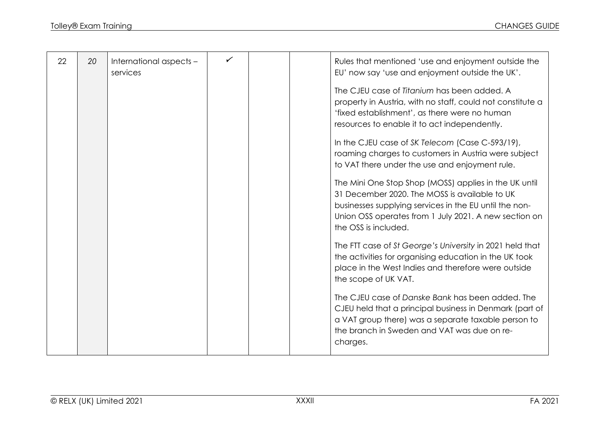|    |    |                         | $\checkmark$ |                                                                                                                                                                                                                                                                                                                                                                                                                                                                                                                                                                                                                                                                                                                                                                                                                                   |
|----|----|-------------------------|--------------|-----------------------------------------------------------------------------------------------------------------------------------------------------------------------------------------------------------------------------------------------------------------------------------------------------------------------------------------------------------------------------------------------------------------------------------------------------------------------------------------------------------------------------------------------------------------------------------------------------------------------------------------------------------------------------------------------------------------------------------------------------------------------------------------------------------------------------------|
| 22 | 20 | International aspects - |              | Rules that mentioned 'use and enjoyment outside the                                                                                                                                                                                                                                                                                                                                                                                                                                                                                                                                                                                                                                                                                                                                                                               |
|    |    | services                |              | EU' now say 'use and enjoyment outside the UK'.                                                                                                                                                                                                                                                                                                                                                                                                                                                                                                                                                                                                                                                                                                                                                                                   |
|    |    |                         |              | The CJEU case of Titanium has been added. A<br>property in Austria, with no staff, could not constitute a<br>'fixed establishment', as there were no human<br>resources to enable it to act independently.<br>In the CJEU case of SK Telecom (Case C-593/19),<br>roaming charges to customers in Austria were subject<br>to VAT there under the use and enjoyment rule.<br>The Mini One Stop Shop (MOSS) applies in the UK until<br>31 December 2020. The MOSS is available to UK<br>businesses supplying services in the EU until the non-<br>Union OSS operates from 1 July 2021. A new section on<br>the OSS is included.<br>The FTT case of St George's University in 2021 held that<br>the activities for organising education in the UK took<br>place in the West Indies and therefore were outside<br>the scope of UK VAT. |
|    |    |                         |              | The CJEU case of Danske Bank has been added. The<br>CJEU held that a principal business in Denmark (part of                                                                                                                                                                                                                                                                                                                                                                                                                                                                                                                                                                                                                                                                                                                       |
|    |    |                         |              | a VAT group there) was a separate taxable person to                                                                                                                                                                                                                                                                                                                                                                                                                                                                                                                                                                                                                                                                                                                                                                               |
|    |    |                         |              | the branch in Sweden and VAT was due on re-                                                                                                                                                                                                                                                                                                                                                                                                                                                                                                                                                                                                                                                                                                                                                                                       |
|    |    |                         |              |                                                                                                                                                                                                                                                                                                                                                                                                                                                                                                                                                                                                                                                                                                                                                                                                                                   |
|    |    |                         |              | charges.                                                                                                                                                                                                                                                                                                                                                                                                                                                                                                                                                                                                                                                                                                                                                                                                                          |
|    |    |                         |              |                                                                                                                                                                                                                                                                                                                                                                                                                                                                                                                                                                                                                                                                                                                                                                                                                                   |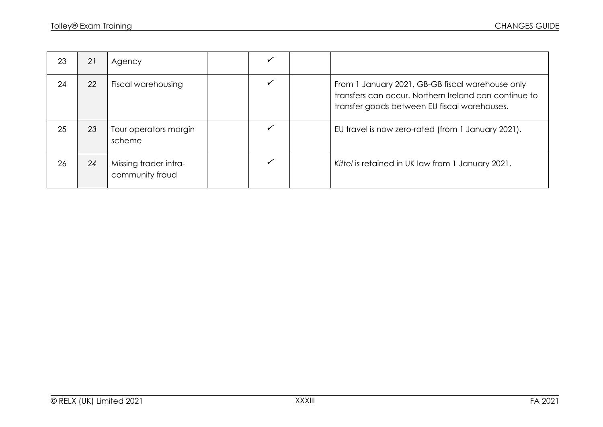| 23 | 21 | Agency                                   |  |                                                                                                                                                           |
|----|----|------------------------------------------|--|-----------------------------------------------------------------------------------------------------------------------------------------------------------|
| 24 | 22 | Fiscal warehousing                       |  | From 1 January 2021, GB-GB fiscal warehouse only<br>transfers can occur. Northern Ireland can continue to<br>transfer goods between EU fiscal warehouses. |
| 25 | 23 | Tour operators margin<br>scheme          |  | EU travel is now zero-rated (from 1 January 2021).                                                                                                        |
| 26 | 24 | Missing trader intra-<br>community fraud |  | Kittel is retained in UK law from 1 January 2021.                                                                                                         |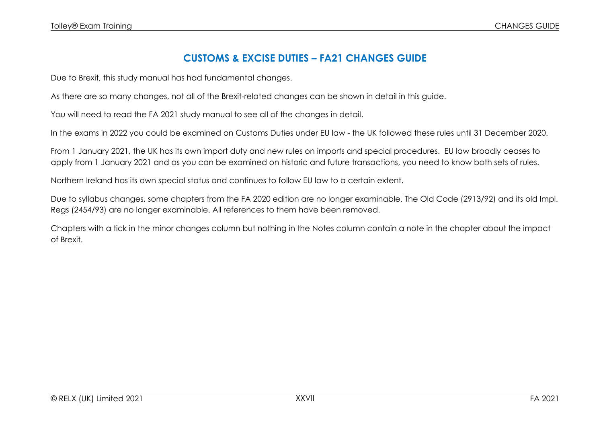## **CUSTOMS & EXCISE DUTIES – FA21 CHANGES GUIDE**

Due to Brexit, this study manual has had fundamental changes.

As there are so many changes, not all of the Brexit-related changes can be shown in detail in this guide.

You will need to read the FA 2021 study manual to see all of the changes in detail.

In the exams in 2022 you could be examined on Customs Duties under EU law - the UK followed these rules until 31 December 2020.

From 1 January 2021, the UK has its own import duty and new rules on imports and special procedures. EU law broadly ceases to apply from 1 January 2021 and as you can be examined on historic and future transactions, you need to know both sets of rules.

Northern Ireland has its own special status and continues to follow EU law to a certain extent.

Due to syllabus changes, some chapters from the FA 2020 edition are no longer examinable. The Old Code (2913/92) and its old Impl. Regs (2454/93) are no longer examinable. All references to them have been removed.

Chapters with a tick in the minor changes column but nothing in the Notes column contain a note in the chapter about the impact of Brexit.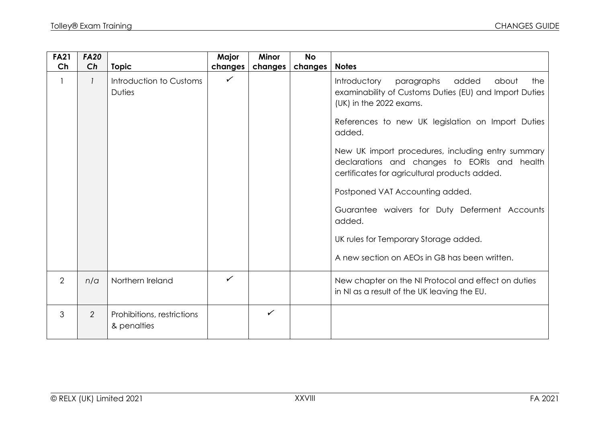| <b>FA21</b><br>Ch | <b>FA20</b><br>Ch | <b>Topic</b>                              | Major<br>changes | <b>Minor</b><br>changes | <b>No</b><br>changes | <b>Notes</b>                                                                                                                                                                                                                                                                                                                                                                                                                                                                                                                                          |
|-------------------|-------------------|-------------------------------------------|------------------|-------------------------|----------------------|-------------------------------------------------------------------------------------------------------------------------------------------------------------------------------------------------------------------------------------------------------------------------------------------------------------------------------------------------------------------------------------------------------------------------------------------------------------------------------------------------------------------------------------------------------|
|                   |                   | Introduction to Customs<br><b>Duties</b>  | $\checkmark$     |                         |                      | Introductory<br>paragraphs<br>added<br>about<br>the<br>examinability of Customs Duties (EU) and Import Duties<br>(UK) in the 2022 exams.<br>References to new UK legislation on Import Duties<br>added.<br>New UK import procedures, including entry summary<br>declarations and changes to EORIs and health<br>certificates for agricultural products added.<br>Postponed VAT Accounting added.<br>Guarantee waivers for Duty Deferment Accounts<br>added.<br>UK rules for Temporary Storage added.<br>A new section on AEOs in GB has been written. |
| $\overline{2}$    | n/a               | Northern Ireland                          | ✓                |                         |                      | New chapter on the NI Protocol and effect on duties<br>in NI as a result of the UK leaving the EU.                                                                                                                                                                                                                                                                                                                                                                                                                                                    |
| 3                 | $\overline{2}$    | Prohibitions, restrictions<br>& penalties |                  | $\checkmark$            |                      |                                                                                                                                                                                                                                                                                                                                                                                                                                                                                                                                                       |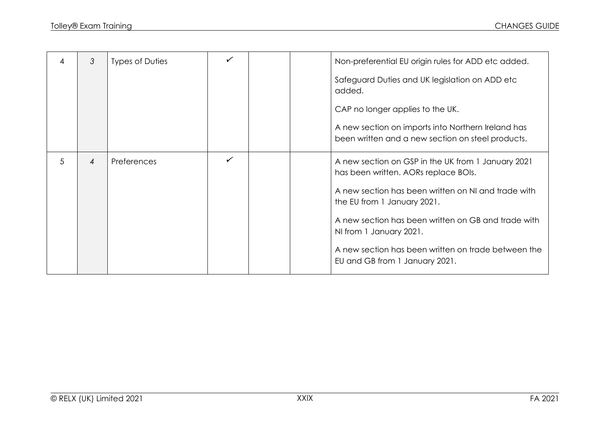| 4 | $\mathcal{S}$  | Types of Duties    | ✓            |  | Non-preferential EU origin rules for ADD etc added.                                                     |
|---|----------------|--------------------|--------------|--|---------------------------------------------------------------------------------------------------------|
|   |                |                    |              |  | Safeguard Duties and UK legislation on ADD etc<br>added.                                                |
|   |                |                    |              |  | CAP no longer applies to the UK.                                                                        |
|   |                |                    |              |  | A new section on imports into Northern Ireland has<br>been written and a new section on steel products. |
| 5 | $\overline{4}$ | <b>Preferences</b> | $\checkmark$ |  | A new section on GSP in the UK from 1 January 2021<br>has been written. AORs replace BOIs.              |
|   |                |                    |              |  | A new section has been written on NI and trade with<br>the EU from 1 January 2021.                      |
|   |                |                    |              |  | A new section has been written on GB and trade with<br>NI from 1 January 2021.                          |
|   |                |                    |              |  | A new section has been written on trade between the<br>EU and GB from 1 January 2021.                   |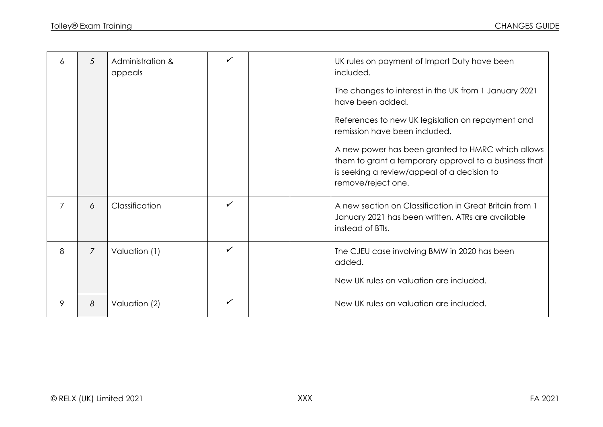| 6              | 5              | Administration &<br>appeals | $\checkmark$ |  | UK rules on payment of Import Duty have been<br>included.                                                                                                                       |
|----------------|----------------|-----------------------------|--------------|--|---------------------------------------------------------------------------------------------------------------------------------------------------------------------------------|
|                |                |                             |              |  | The changes to interest in the UK from 1 January 2021<br>have been added.                                                                                                       |
|                |                |                             |              |  | References to new UK legislation on repayment and<br>remission have been included.                                                                                              |
|                |                |                             |              |  | A new power has been granted to HMRC which allows<br>them to grant a temporary approval to a business that<br>is seeking a review/appeal of a decision to<br>remove/reject one. |
| $\overline{7}$ | 6              | Classification              | ✓            |  | A new section on Classification in Great Britain from 1<br>January 2021 has been written. ATRs are available<br>instead of BTIs.                                                |
| 8              | $\overline{7}$ | Valuation (1)               | $\checkmark$ |  | The CJEU case involving BMW in 2020 has been<br>added.                                                                                                                          |
|                |                |                             |              |  | New UK rules on valuation are included.                                                                                                                                         |
| 9              | 8              | Valuation (2)               | ✓            |  | New UK rules on valuation are included.                                                                                                                                         |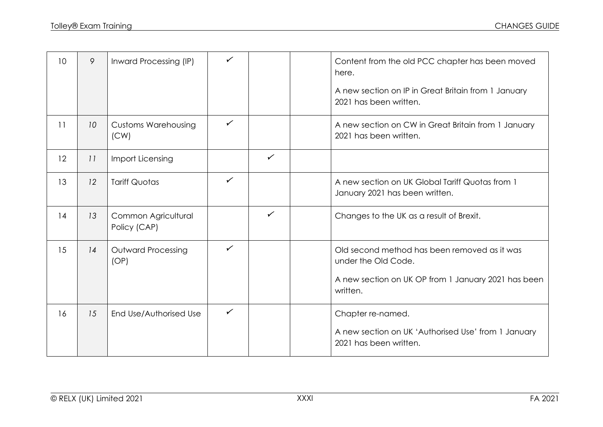| 10 | 9               | Inward Processing (IP)              | ✓            |              | Content from the old PCC chapter has been moved<br>here.<br>A new section on IP in Great Britain from 1 January |
|----|-----------------|-------------------------------------|--------------|--------------|-----------------------------------------------------------------------------------------------------------------|
|    |                 |                                     |              |              | 2021 has been written.                                                                                          |
| 11 | 10 <sup>°</sup> | <b>Customs Warehousing</b><br>(CW)  | $\checkmark$ |              | A new section on CW in Great Britain from 1 January<br>2021 has been written.                                   |
| 12 | 11              | Import Licensing                    |              | $\checkmark$ |                                                                                                                 |
| 13 | 12              | <b>Tariff Quotas</b>                | $\checkmark$ |              | A new section on UK Global Tariff Quotas from 1<br>January 2021 has been written.                               |
| 14 | 13              | Common Agricultural<br>Policy (CAP) |              | $\checkmark$ | Changes to the UK as a result of Brexit.                                                                        |
| 15 | 14              | <b>Outward Processing</b><br>(OP)   | $\checkmark$ |              | Old second method has been removed as it was<br>under the Old Code.                                             |
|    |                 |                                     |              |              | A new section on UK OP from 1 January 2021 has been<br>written.                                                 |
| 16 | 15              | End Use/Authorised Use              | $\checkmark$ |              | Chapter re-named.<br>A new section on UK 'Authorised Use' from 1 January<br>2021 has been written.              |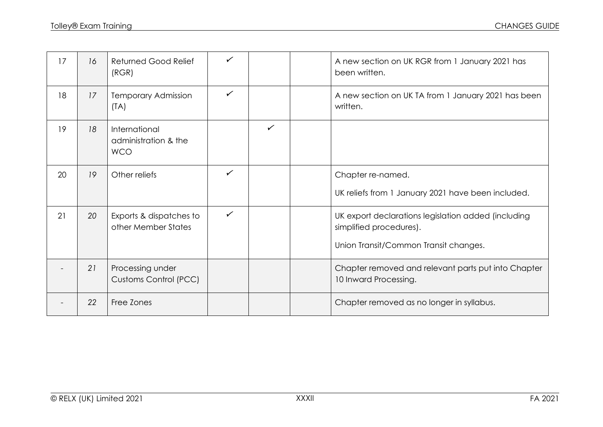| 17 | 16 | <b>Returned Good Relief</b><br>(RGR)                | $\checkmark$ |              | A new section on UK RGR from 1 January 2021 has<br>been written.                                                        |
|----|----|-----------------------------------------------------|--------------|--------------|-------------------------------------------------------------------------------------------------------------------------|
| 18 | 17 | <b>Temporary Admission</b><br>(TA)                  | ✓            |              | A new section on UK TA from 1 January 2021 has been<br>written.                                                         |
| 19 | 18 | International<br>administration & the<br><b>WCO</b> |              | $\checkmark$ |                                                                                                                         |
| 20 | 19 | Other reliefs                                       | $\checkmark$ |              | Chapter re-named.<br>UK reliefs from 1 January 2021 have been included.                                                 |
| 21 | 20 | Exports & dispatches to<br>other Member States      | $\checkmark$ |              | UK export declarations legislation added (including<br>simplified procedures).<br>Union Transit/Common Transit changes. |
|    | 21 | Processing under<br><b>Customs Control (PCC)</b>    |              |              | Chapter removed and relevant parts put into Chapter<br>10 Inward Processing.                                            |
|    | 22 | Free Zones                                          |              |              | Chapter removed as no longer in syllabus.                                                                               |